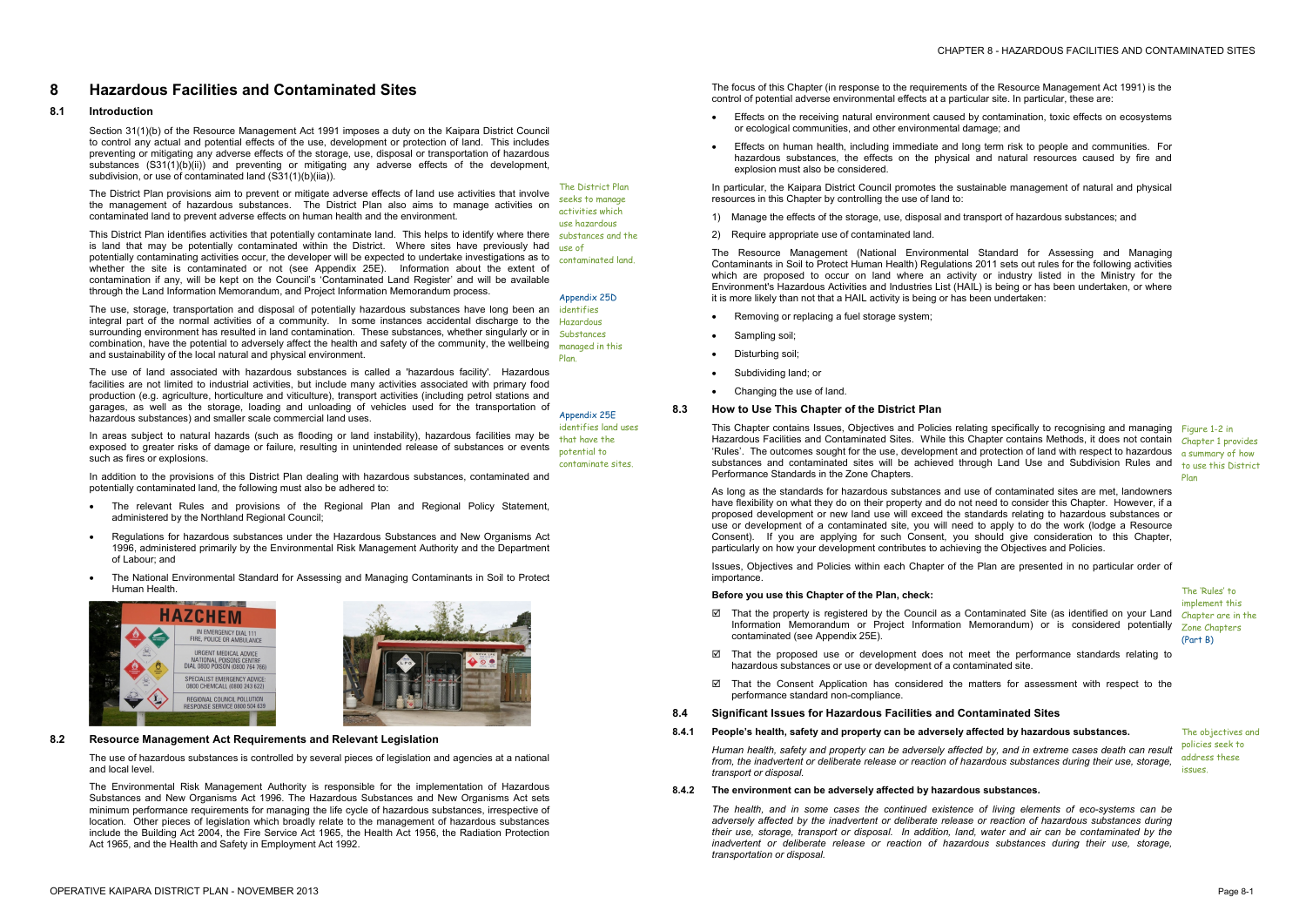Section 31(1)(b) of the Resource Management Act 1991 imposes a duty on the Kaipara District Council to control any actual and potential effects of the use, development or protection of land. This includes preventing or mitigating any adverse effects of the storage, use, disposal or transportation of hazardous substances  $(S31(1)(b)(ii))$  and preventing or mitigating any adverse effects of the development, subdivision, or use of contaminated land (S31(1)(b)(iia)).

# **8 Hazardous Facilities and Contaminated Sites**

### **8.1 Introduction**

This District Plan identifies activities that potentially contaminate land. This helps to identify where there substances and the is land that may be potentially contaminated within the District. Where sites have previously had use of potentially contaminating activities occur, the developer will be expected to undertake investigations as to whether the site is contaminated or not (see Appendix 25E). Information about the extent of contamination if any, will be kept on the Council's 'Contaminated Land Register' and will be available through the Land Information Memorandum, and Project Information Memorandum process.

The District Plan provisions aim to prevent or mitigate adverse effects of land use activities that involve the management of hazardous substances. The District Plan also aims to manage activities on contaminated land to prevent adverse effects on human health and the environment.

The use, storage, transportation and disposal of potentially hazardous substances have long been an integral part of the normal activities of a community. In some instances accidental discharge to the surrounding environment has resulted in land contamination. These substances, whether singularly or in combination, have the potential to adversely affect the health and safety of the community, the wellbeing and sustainability of the local natural and physical environment.

The use of land associated with hazardous substances is called a 'hazardous facility'. Hazardous facilities are not limited to industrial activities, but include many activities associated with primary food production (e.g. agriculture, horticulture and viticulture), transport activities (including petrol stations and garages, as well as the storage, loading and unloading of vehicles used for the transportation of hazardous substances) and smaller scale commercial land uses.

- Effects on the receiving natural environment caused by contamination, toxic effects on ecosystems or ecological communities, and other environmental damage; and
- Effects on human health, including immediate and long term risk to people and communities. For hazardous substances, the effects on the physical and natural resources caused by fire and explosion must also be considered.

In areas subject to natural hazards (such as flooding or land instability), hazardous facilities may be exposed to greater risks of damage or failure, resulting in unintended release of substances or events such as fires or explosions.

In addition to the provisions of this District Plan dealing with hazardous substances, contaminated and potentially contaminated land, the following must also be adhered to:

- Removing or replacing a fuel storage system;
- Sampling soil;
- Disturbing soil;
- Subdividing land; or
- · Changing the use of land.

- · The relevant Rules and provisions of the Regional Plan and Regional Policy Statement, administered by the Northland Regional Council;
- · Regulations for hazardous substances under the Hazardous Substances and New Organisms Act 1996, administered primarily by the Environmental Risk Management Authority and the Department of Labour; and
- · The National Environmental Standard for Assessing and Managing Contaminants in Soil to Protect Human Health.





This Chapter contains Issues, Objectives and Policies relating specifically to recognising and managing Figure 1-2 in Hazardous Facilities and Contaminated Sites. While this Chapter contains Methods, it does not contain chapter 1 provides 'Rules'. The outcomes sought for the use, development and protection of land with respect to hazardous a summary of how substances and contaminated sites will be achieved through Land Use and Subdivision Rules and Performance Standards in the Zone Chapters.

The District Plan seeks to manage activities which use hazardous

contaminated land.

#### Appendix 25D

identifies Hazardous Substances managed in this Plan.

Appendix 25E identifies land uses that have the potential to contaminate sites.

### **8.2 Resource Management Act Requirements and Relevant Legislation**

The use of hazardous substances is controlled by several pieces of legislation and agencies at a national and local level.

- ⊠ That the property is registered by the Council as a Contaminated Site (as identified on your Land chapter are in the Information Memorandum or Project Information Memorandum) or is considered potentially contaminated (see Appendix 25E).
- $\boxtimes$  That the proposed use or development does not meet the performance standards relating to hazardous substances or use or development of a contaminated site.
- $\boxtimes$  That the Consent Application has considered the matters for assessment with respect to the performance standard non-compliance.

The Environmental Risk Management Authority is responsible for the implementation of Hazardous Substances and New Organisms Act 1996. The Hazardous Substances and New Organisms Act sets minimum performance requirements for managing the life cycle of hazardous substances, irrespective of location. Other pieces of legislation which broadly relate to the management of hazardous substances include the Building Act 2004, the Fire Service Act 1965, the Health Act 1956, the Radiation Protection Act 1965, and the Health and Safety in Employment Act 1992.

The focus of this Chapter (in response to the requirements of the Resource Management Act 1991) is the control of potential adverse environmental effects at a particular site. In particular, these are:

In particular, the Kaipara District Council promotes the sustainable management of natural and physical resources in this Chapter by controlling the use of land to:

- 1) Manage the effects of the storage, use, disposal and transport of hazardous substances; and
- 2) Require appropriate use of contaminated land.

The Resource Management (National Environmental Standard for Assessing and Managing Contaminants in Soil to Protect Human Health) Regulations 2011 sets out rules for the following activities which are proposed to occur on land where an activity or industry listed in the Ministry for the Environment's Hazardous Activities and Industries List (HAIL) is being or has been undertaken, or where it is more likely than not that a HAIL activity is being or has been undertaken:

**8.3 How to Use This Chapter of the District Plan** 

As long as the standards for hazardous substances and use of contaminated sites are met, landowners have flexibility on what they do on their property and do not need to consider this Chapter. However, if a proposed development or new land use will exceed the standards relating to hazardous substances or use or development of a contaminated site, you will need to apply to do the work (lodge a Resource Consent). If you are applying for such Consent, you should give consideration to this Chapter, particularly on how your development contributes to achieving the Objectives and Policies.

Issues, Objectives and Policies within each Chapter of the Plan are presented in no particular order of importance.

## **Before you use this Chapter of the Plan, check:**

to use this District Plan

The 'Rules' to implement this Zone Chapters (Part B)

## **8.4 Significant Issues for Hazardous Facilities and Contaminated Sites**

## **8.4.1 People's health, safety and property can be adversely affected by hazardous substances.** The objectives and

policies seek to address these issues.

*Human health, safety and property can be adversely affected by, and in extreme cases death can result from, the inadvertent or deliberate release or reaction of hazardous substances during their use, storage, transport or disposal.* 

# **8.4.2 The environment can be adversely affected by hazardous substances***.*

*The health, and in some cases the continued existence of living elements of eco-systems can be adversely affected by the inadvertent or deliberate release or reaction of hazardous substances during their use, storage, transport or disposal. In addition, land, water and air can be contaminated by the inadvertent or deliberate release or reaction of hazardous substances during their use, storage, transportation or disposal.*